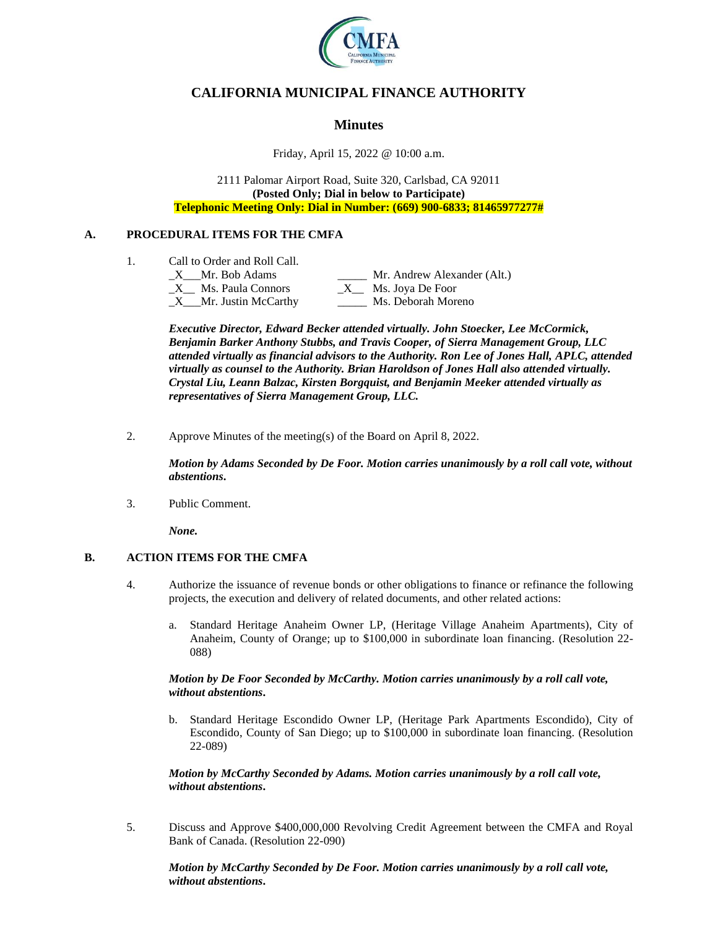

# **CALIFORNIA MUNICIPAL FINANCE AUTHORITY**

## **Minutes**

Friday, April 15, 2022 @ 10:00 a.m.

2111 Palomar Airport Road, Suite 320, Carlsbad, CA 92011 **(Posted Only; Dial in below to Participate) Telephonic Meeting Only: Dial in Number: (669) 900-6833; 81465977277#**

### **A. PROCEDURAL ITEMS FOR THE CMFA**

- 1. Call to Order and Roll Call.
	- X Mr. Bob Adams Mr. Andrew Alexander (Alt.)  $X$  Ms. Paula Connors  $X$  Ms. Joya De Foor \_X\_\_\_Mr. Justin McCarthy \_\_\_\_\_ Ms. Deborah Moreno

*Executive Director, Edward Becker attended virtually. John Stoecker, Lee McCormick, Benjamin Barker Anthony Stubbs, and Travis Cooper, of Sierra Management Group, LLC attended virtually as financial advisors to the Authority. Ron Lee of Jones Hall, APLC, attended virtually as counsel to the Authority. Brian Haroldson of Jones Hall also attended virtually. Crystal Liu, Leann Balzac, Kirsten Borgquist, and Benjamin Meeker attended virtually as representatives of Sierra Management Group, LLC.*

2. Approve Minutes of the meeting(s) of the Board on April 8, 2022.

*Motion by Adams Seconded by De Foor. Motion carries unanimously by a roll call vote, without abstentions***.**

3. Public Comment.

*None.*

### **B. ACTION ITEMS FOR THE CMFA**

- 4. Authorize the issuance of revenue bonds or other obligations to finance or refinance the following projects, the execution and delivery of related documents, and other related actions:
	- a. Standard Heritage Anaheim Owner LP, (Heritage Village Anaheim Apartments), City of Anaheim, County of Orange; up to \$100,000 in subordinate loan financing. (Resolution 22- 088)

#### *Motion by De Foor Seconded by McCarthy. Motion carries unanimously by a roll call vote, without abstentions***.**

b. Standard Heritage Escondido Owner LP, (Heritage Park Apartments Escondido), City of Escondido, County of San Diego; up to \$100,000 in subordinate loan financing. (Resolution 22-089)

*Motion by McCarthy Seconded by Adams. Motion carries unanimously by a roll call vote, without abstentions***.**

5. Discuss and Approve \$400,000,000 Revolving Credit Agreement between the CMFA and Royal Bank of Canada. (Resolution 22-090)

*Motion by McCarthy Seconded by De Foor. Motion carries unanimously by a roll call vote, without abstentions***.**